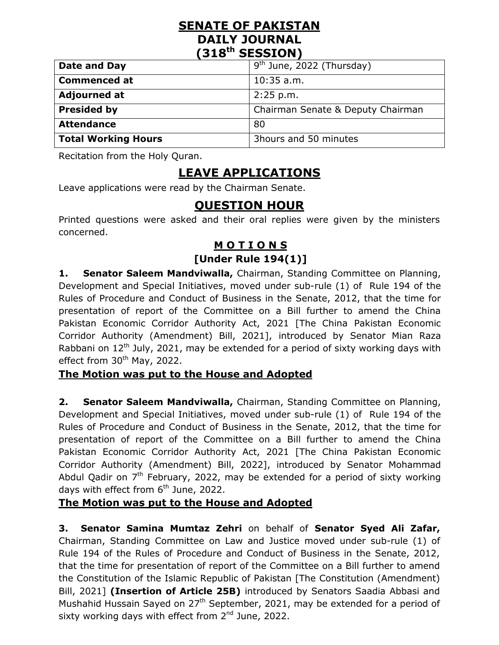# **SENATE OF PAKISTAN DAILY JOURNAL (318th SESSION)**

| Date and Day        | $9th$ June, 2022 (Thursday)       |
|---------------------|-----------------------------------|
| <b>Commenced at</b> | $10:35$ a.m.                      |
| <b>Adjourned at</b> | 2:25 p.m.                         |
| <b>Presided by</b>  | Chairman Senate & Deputy Chairman |
| <b>Attendance</b>   | 80                                |
| Total Working Hours | 3hours and 50 minutes             |

Recitation from the Holy Quran.

# **LEAVE APPLICATIONS**

Leave applications were read by the Chairman Senate.

# **QUESTION HOUR**

Printed questions were asked and their oral replies were given by the ministers concerned.

# **M O T I O N S [Under Rule 194(1)]**

**1. Senator Saleem Mandviwalla,** Chairman, Standing Committee on Planning, Development and Special Initiatives, moved under sub-rule (1) of Rule 194 of the Rules of Procedure and Conduct of Business in the Senate, 2012, that the time for presentation of report of the Committee on a Bill further to amend the China Pakistan Economic Corridor Authority Act, 2021 [The China Pakistan Economic Corridor Authority (Amendment) Bill, 2021], introduced by Senator Mian Raza Rabbani on 12<sup>th</sup> July, 2021, may be extended for a period of sixty working days with effect from  $30<sup>th</sup>$  May, 2022.

#### **The Motion was put to the House and Adopted**

**2. Senator Saleem Mandviwalla,** Chairman, Standing Committee on Planning, Development and Special Initiatives, moved under sub-rule (1) of Rule 194 of the Rules of Procedure and Conduct of Business in the Senate, 2012, that the time for presentation of report of the Committee on a Bill further to amend the China Pakistan Economic Corridor Authority Act, 2021 [The China Pakistan Economic Corridor Authority (Amendment) Bill, 2022], introduced by Senator Mohammad Abdul Qadir on  $7<sup>th</sup>$  February, 2022, may be extended for a period of sixty working days with effect from  $6<sup>th</sup>$  June, 2022.

# **The Motion was put to the House and Adopted**

**3. Senator Samina Mumtaz Zehri** on behalf of **Senator Syed Ali Zafar,** Chairman, Standing Committee on Law and Justice moved under sub-rule (1) of Rule 194 of the Rules of Procedure and Conduct of Business in the Senate, 2012, that the time for presentation of report of the Committee on a Bill further to amend the Constitution of the Islamic Republic of Pakistan [The Constitution (Amendment) Bill, 2021] **(Insertion of Article 25B)** introduced by Senators Saadia Abbasi and Mushahid Hussain Sayed on  $27<sup>th</sup>$  September, 2021, may be extended for a period of sixty working days with effect from  $2<sup>nd</sup>$  June, 2022.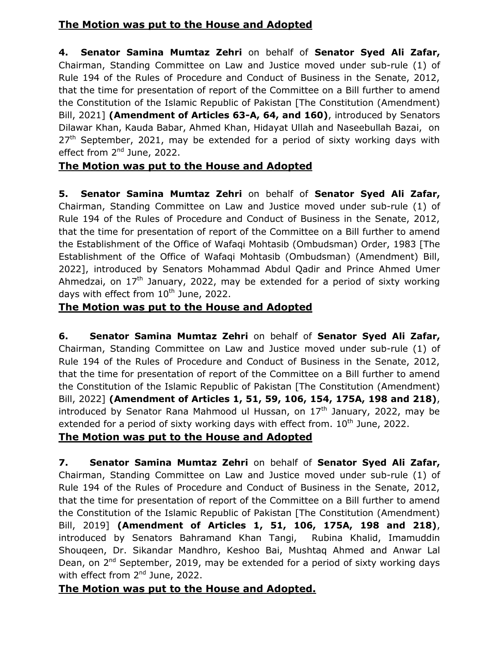# **The Motion was put to the House and Adopted**

**4. Senator Samina Mumtaz Zehri** on behalf of **Senator Syed Ali Zafar,** Chairman, Standing Committee on Law and Justice moved under sub-rule (1) of Rule 194 of the Rules of Procedure and Conduct of Business in the Senate, 2012, that the time for presentation of report of the Committee on a Bill further to amend the Constitution of the Islamic Republic of Pakistan [The Constitution (Amendment) Bill, 2021] **(Amendment of Articles 63-A, 64, and 160)**, introduced by Senators Dilawar Khan, Kauda Babar, Ahmed Khan, Hidayat Ullah and Naseebullah Bazai, on  $27<sup>th</sup>$  September, 2021, may be extended for a period of sixty working days with effect from 2<sup>nd</sup> June, 2022.

# **The Motion was put to the House and Adopted**

**5. Senator Samina Mumtaz Zehri** on behalf of **Senator Syed Ali Zafar,** Chairman, Standing Committee on Law and Justice moved under sub-rule (1) of Rule 194 of the Rules of Procedure and Conduct of Business in the Senate, 2012, that the time for presentation of report of the Committee on a Bill further to amend the Establishment of the Office of Wafaqi Mohtasib (Ombudsman) Order, 1983 [The Establishment of the Office of Wafaqi Mohtasib (Ombudsman) (Amendment) Bill, 2022], introduced by Senators Mohammad Abdul Qadir and Prince Ahmed Umer Ahmedzai, on  $17<sup>th</sup>$  January, 2022, may be extended for a period of sixty working days with effect from  $10^{th}$  June, 2022.

#### **The Motion was put to the House and Adopted**

**6. Senator Samina Mumtaz Zehri** on behalf of **Senator Syed Ali Zafar,** Chairman, Standing Committee on Law and Justice moved under sub-rule (1) of Rule 194 of the Rules of Procedure and Conduct of Business in the Senate, 2012, that the time for presentation of report of the Committee on a Bill further to amend the Constitution of the Islamic Republic of Pakistan [The Constitution (Amendment) Bill, 2022] **(Amendment of Articles 1, 51, 59, 106, 154, 175A, 198 and 218)**, introduced by Senator Rana Mahmood ul Hussan, on  $17<sup>th</sup>$  January, 2022, may be extended for a period of sixty working days with effect from.  $10<sup>th</sup>$  June, 2022.

#### **The Motion was put to the House and Adopted**

**7. Senator Samina Mumtaz Zehri** on behalf of **Senator Syed Ali Zafar,** Chairman, Standing Committee on Law and Justice moved under sub-rule (1) of Rule 194 of the Rules of Procedure and Conduct of Business in the Senate, 2012, that the time for presentation of report of the Committee on a Bill further to amend the Constitution of the Islamic Republic of Pakistan [The Constitution (Amendment) Bill, 2019] **(Amendment of Articles 1, 51, 106, 175A, 198 and 218)**, introduced by Senators Bahramand Khan Tangi, Rubina Khalid, Imamuddin Shouqeen, Dr. Sikandar Mandhro, Keshoo Bai, Mushtaq Ahmed and Anwar Lal Dean, on 2<sup>nd</sup> September, 2019, may be extended for a period of sixty working days with effect from 2<sup>nd</sup> June, 2022.

#### **The Motion was put to the House and Adopted.**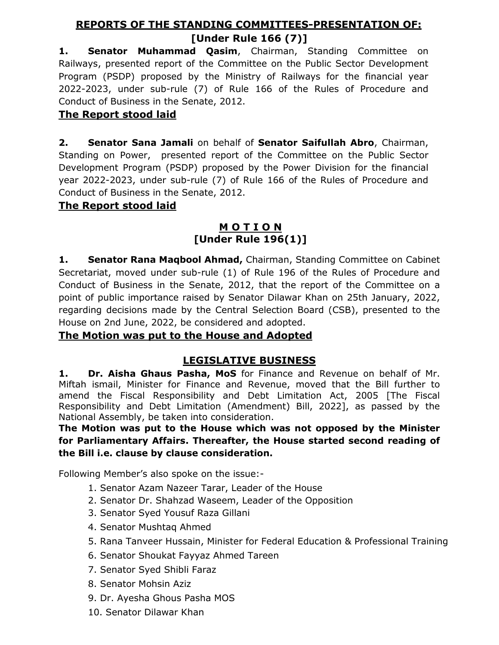## **REPORTS OF THE STANDING COMMITTEES-PRESENTATION OF:**

## **[Under Rule 166 (7)]**

**1. Senator Muhammad Qasim**, Chairman, Standing Committee on Railways, presented report of the Committee on the Public Sector Development Program (PSDP) proposed by the Ministry of Railways for the financial year 2022-2023, under sub-rule (7) of Rule 166 of the Rules of Procedure and Conduct of Business in the Senate, 2012.

# **The Report stood laid**

**2. Senator [Sana Jamali](https://www.senate.gov.pk/en/profile.php?uid=916&catid=261&subcatid=2&cattitle=Members%20Senate)** on behalf of **Senator Saifullah Abro**, Chairman, Standing on Power, presented report of the Committee on the Public Sector Development Program (PSDP) proposed by the Power Division for the financial year 2022-2023, under sub-rule (7) of Rule 166 of the Rules of Procedure and Conduct of Business in the Senate, 2012.

#### **The Report stood laid**

### **M O T I O N [Under Rule 196(1)]**

**1. Senator Rana Maqbool Ahmad,** Chairman, Standing Committee on Cabinet Secretariat, moved under sub-rule (1) of Rule 196 of the Rules of Procedure and Conduct of Business in the Senate, 2012, that the report of the Committee on a point of public importance raised by Senator Dilawar Khan on 25th January, 2022, regarding decisions made by the Central Selection Board (CSB), presented to the House on 2nd June, 2022, be considered and adopted.

#### **The Motion was put to the House and Adopted**

#### **LEGISLATIVE BUSINESS**

**1. Dr. Aisha Ghaus Pasha, MoS** for Finance and Revenue on behalf of Mr. Miftah ismail, Minister for Finance and Revenue, moved that the Bill further to amend the Fiscal Responsibility and Debt Limitation Act, 2005 [The Fiscal Responsibility and Debt Limitation (Amendment) Bill, 2022], as passed by the National Assembly, be taken into consideration.

**The Motion was put to the House which was not opposed by the Minister for Parliamentary Affairs. Thereafter, the House started second reading of the Bill i.e. clause by clause consideration.**

Following Member's also spoke on the issue:-

- 1. Senator Azam Nazeer Tarar, Leader of the House
- 2. Senator Dr. Shahzad Waseem, Leader of the Opposition
- 3. Senator Syed Yousuf Raza Gillani
- 4. Senator Mushtaq Ahmed
- 5. Rana Tanveer Hussain, Minister for Federal Education & Professional Training
- 6. Senator Shoukat Fayyaz Ahmed Tareen
- 7. Senator Syed Shibli Faraz
- 8. Senator Mohsin Aziz
- 9. Dr. Ayesha Ghous Pasha MOS
- 10. Senator Dilawar Khan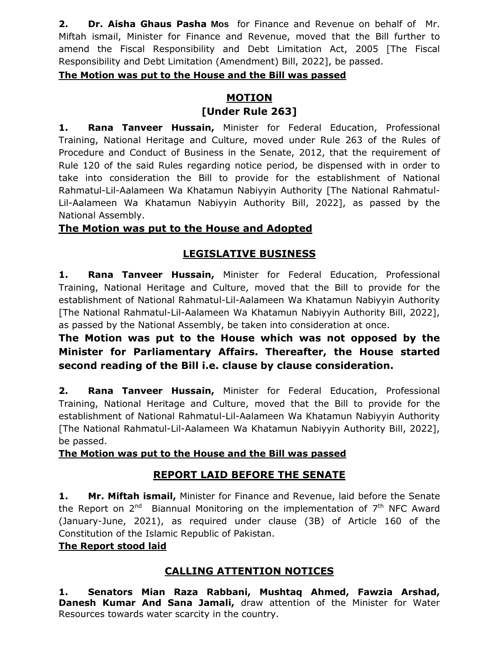**2. Dr. Aisha Ghaus Pasha Mos** for Finance and Revenue on behalf of Mr. Miftah ismail, Minister for Finance and Revenue, moved that the Bill further to amend the Fiscal Responsibility and Debt Limitation Act, 2005 [The Fiscal Responsibility and Debt Limitation (Amendment) Bill, 2022], be passed.

#### **The Motion was put to the House and the Bill was passed**

#### **MOTION [Under Rule 263]**

**1. Rana Tanveer Hussain,** Minister for Federal Education, Professional Training, National Heritage and Culture, moved under Rule 263 of the Rules of Procedure and Conduct of Business in the Senate, 2012, that the requirement of Rule 120 of the said Rules regarding notice period, be dispensed with in order to take into consideration the Bill to provide for the establishment of National Rahmatul-Lil-Aalameen Wa Khatamun Nabiyyin Authority [The National Rahmatul-Lil-Aalameen Wa Khatamun Nabiyyin Authority Bill, 2022], as passed by the National Assembly.

#### **The Motion was put to the House and Adopted**

#### **LEGISLATIVE BUSINESS**

**1. Rana Tanveer Hussain,** Minister for Federal Education, Professional Training, National Heritage and Culture, moved that the Bill to provide for the establishment of National Rahmatul-Lil-Aalameen Wa Khatamun Nabiyyin Authority [The National Rahmatul-Lil-Aalameen Wa Khatamun Nabiyyin Authority Bill, 2022], as passed by the National Assembly, be taken into consideration at once.

## **The Motion was put to the House which was not opposed by the Minister for Parliamentary Affairs. Thereafter, the House started second reading of the Bill i.e. clause by clause consideration.**

**2. Rana Tanveer Hussain,** Minister for Federal Education, Professional Training, National Heritage and Culture, moved that the Bill to provide for the establishment of National Rahmatul-Lil-Aalameen Wa Khatamun Nabiyyin Authority [The National Rahmatul-Lil-Aalameen Wa Khatamun Nabiyyin Authority Bill, 2022], be passed.

#### **The Motion was put to the House and the Bill was passed**

#### **REPORT LAID BEFORE THE SENATE**

**1. Mr. Miftah ismail,** Minister for Finance and Revenue, laid before the Senate the Report on  $2^{nd}$  Biannual Monitoring on the implementation of  $7<sup>th</sup>$  NFC Award (January-June, 2021), as required under clause (3B) of Article 160 of the Constitution of the Islamic Republic of Pakistan.

#### **The Report stood laid**

#### **CALLING ATTENTION NOTICES**

**1. Senators Mian Raza Rabbani, Mushtaq Ahmed, Fawzia Arshad, Danesh Kumar And Sana Jamali,** draw attention of the Minister for Water Resources towards water scarcity in the country.